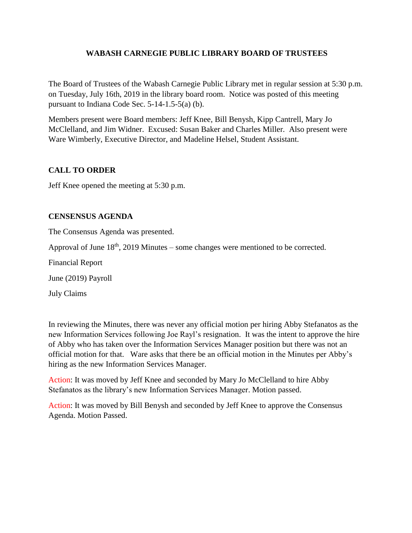# **WABASH CARNEGIE PUBLIC LIBRARY BOARD OF TRUSTEES**

The Board of Trustees of the Wabash Carnegie Public Library met in regular session at 5:30 p.m. on Tuesday, July 16th, 2019 in the library board room. Notice was posted of this meeting pursuant to Indiana Code Sec. 5-14-1.5-5(a) (b).

Members present were Board members: Jeff Knee, Bill Benysh, Kipp Cantrell, Mary Jo McClelland, and Jim Widner. Excused: Susan Baker and Charles Miller. Also present were Ware Wimberly, Executive Director, and Madeline Helsel, Student Assistant.

## **CALL TO ORDER**

Jeff Knee opened the meeting at 5:30 p.m.

#### **CENSENSUS AGENDA**

The Consensus Agenda was presented.

Approval of June  $18<sup>th</sup>$ , 2019 Minutes – some changes were mentioned to be corrected.

Financial Report

June (2019) Payroll

July Claims

In reviewing the Minutes, there was never any official motion per hiring Abby Stefanatos as the new Information Services following Joe Rayl's resignation. It was the intent to approve the hire of Abby who has taken over the Information Services Manager position but there was not an official motion for that. Ware asks that there be an official motion in the Minutes per Abby's hiring as the new Information Services Manager.

Action: It was moved by Jeff Knee and seconded by Mary Jo McClelland to hire Abby Stefanatos as the library's new Information Services Manager. Motion passed.

Action: It was moved by Bill Benysh and seconded by Jeff Knee to approve the Consensus Agenda. Motion Passed.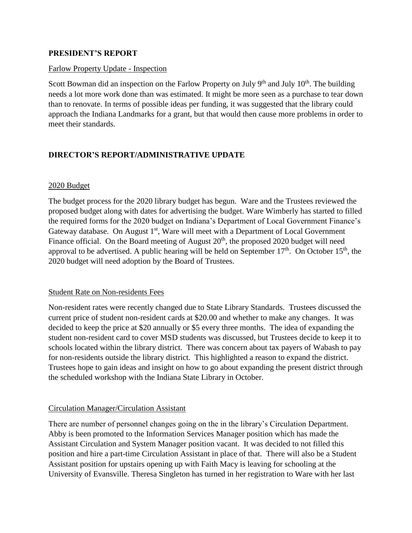## **PRESIDENT'S REPORT**

### Farlow Property Update - Inspection

Scott Bowman did an inspection on the Farlow Property on July  $9<sup>th</sup>$  and July  $10<sup>th</sup>$ . The building needs a lot more work done than was estimated. It might be more seen as a purchase to tear down than to renovate. In terms of possible ideas per funding, it was suggested that the library could approach the Indiana Landmarks for a grant, but that would then cause more problems in order to meet their standards.

# **DIRECTOR'S REPORT/ADMINISTRATIVE UPDATE**

#### 2020 Budget

The budget process for the 2020 library budget has begun. Ware and the Trustees reviewed the proposed budget along with dates for advertising the budget. Ware Wimberly has started to filled the required forms for the 2020 budget on Indiana's Department of Local Government Finance's Gateway database. On August  $1<sup>st</sup>$ , Ware will meet with a Department of Local Government Finance official. On the Board meeting of August  $20<sup>th</sup>$ , the proposed 2020 budget will need approval to be advertised. A public hearing will be held on September  $17<sup>th</sup>$ . On October  $15<sup>th</sup>$ , the 2020 budget will need adoption by the Board of Trustees.

### Student Rate on Non-residents Fees

Non-resident rates were recently changed due to State Library Standards. Trustees discussed the current price of student non-resident cards at \$20.00 and whether to make any changes. It was decided to keep the price at \$20 annually or \$5 every three months. The idea of expanding the student non-resident card to cover MSD students was discussed, but Trustees decide to keep it to schools located within the library district. There was concern about tax payers of Wabash to pay for non-residents outside the library district. This highlighted a reason to expand the district. Trustees hope to gain ideas and insight on how to go about expanding the present district through the scheduled workshop with the Indiana State Library in October.

### Circulation Manager/Circulation Assistant

There are number of personnel changes going on the in the library's Circulation Department. Abby is been promoted to the Information Services Manager position which has made the Assistant Circulation and System Manager position vacant. It was decided to not filled this position and hire a part-time Circulation Assistant in place of that. There will also be a Student Assistant position for upstairs opening up with Faith Macy is leaving for schooling at the University of Evansville. Theresa Singleton has turned in her registration to Ware with her last